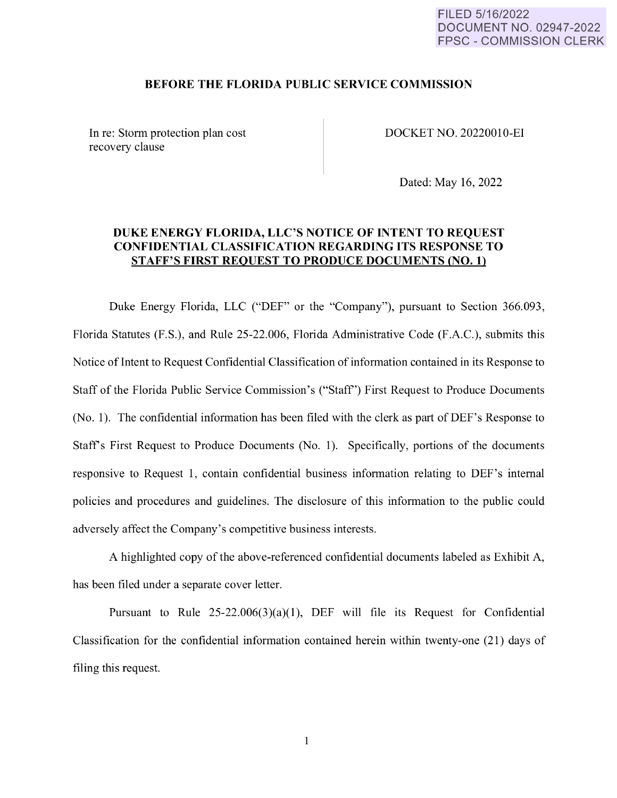#### FILED 5/16/2022 DOCUMENT NO. 02947-2022 FPSC - COMMISSION CLERK

#### **BEFORE THE FLORIDA PUBLIC SERVICE COMMISSION**

In re: Storm protection plan cost recovery clause

DOCKET NO. 20220010-EI

Dated: May 16, 2022

### **DUKE ENERGY FLORIDA, LLC'S NOTICE OF INTENT TO REQUEST CONFIDENTIAL CLASSIFICATION REGARDING ITS RESPONSE TO STAFF'S FIRST REQUEST TO PRODUCE DOCUMENTS {NO. 1}**

Duke Energy Florida, LLC ("DEF" or the "Company"), pursuant to Section 366.093, Florida Statutes (F.S.), and Rule 25-22.006, Florida Administrative Code (F.A.C.), submits this Notice of Intent to Request Confidential Classification of information contained in its Response to Staff of the Florida Public Service Commission's ("Staff') First Request to Produce Documents (No. 1 ). The confidential information has been filed with the clerk as part of DEF's Response to Staffs First Request to Produce Documents (No. 1). Specifically, portions of the documents responsive to Request 1, contain confidential business information relating to DEF's internal policies and procedures and guidelines. The disclosure of this information to the public could adversely affect the Company's competitive business interests.

A highlighted copy of the above-referenced confidential documents labeled as Exhibit A, has been filed under a separate cover letter.

Pursuant to Rule  $25-22.006(3)(a)(1)$ , DEF will file its Request for Confidential Classification for the confidential information contained herein within twenty-one (21) days of filing this request.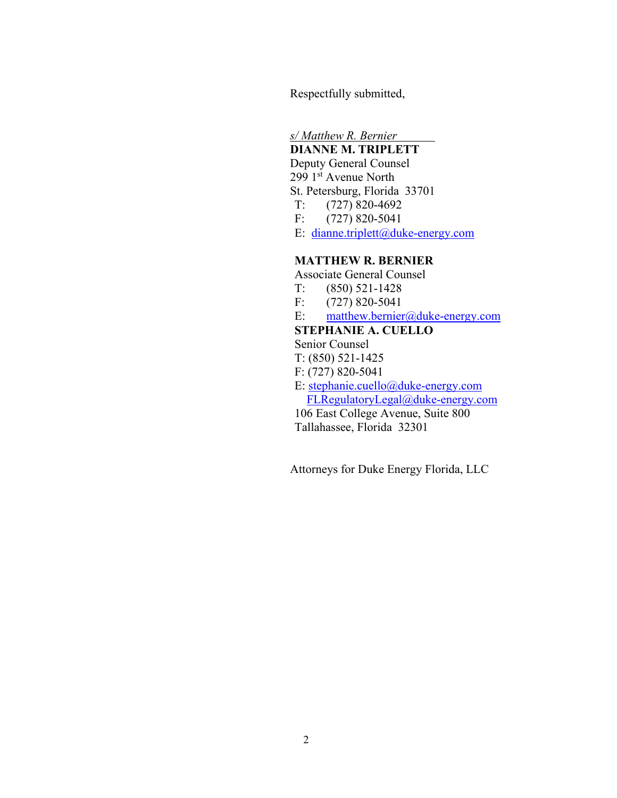Respectfully submitted,

*s/ Matthew R. Bernier* 

# **DIANNE M. TRIPLETT**

 Deputy General Counsel 299 1st Avenue North St. Petersburg, Florida 33701 T: (727) 820-4692 F: (727) 820-5041 E: [dianne.triplett@duke-energy.com](mailto:dianne.triplett@duke-energy.com)

### **MATTHEW R. BERNIER**

Associate General Counsel

- T: (850) 521-1428
- F: (727) 820-5041
- E: [matthew.bernier@duke-energy.com](mailto:matthew.bernier@duke-energy.com)

#### **STEPHANIE A. CUELLO**

Senior Counsel

- T: (850) 521-1425
- F: (727) 820-5041
- E: [stephanie.cuello@duke-energy.com](mailto:stephanie.cuello@duke-energy.com) [FLRegulatoryLegal@duke-energy.com](mailto:FLRegulatoryLegal@duke-energy.com)

106 East College Avenue, Suite 800 Tallahassee, Florida 32301

Attorneys for Duke Energy Florida, LLC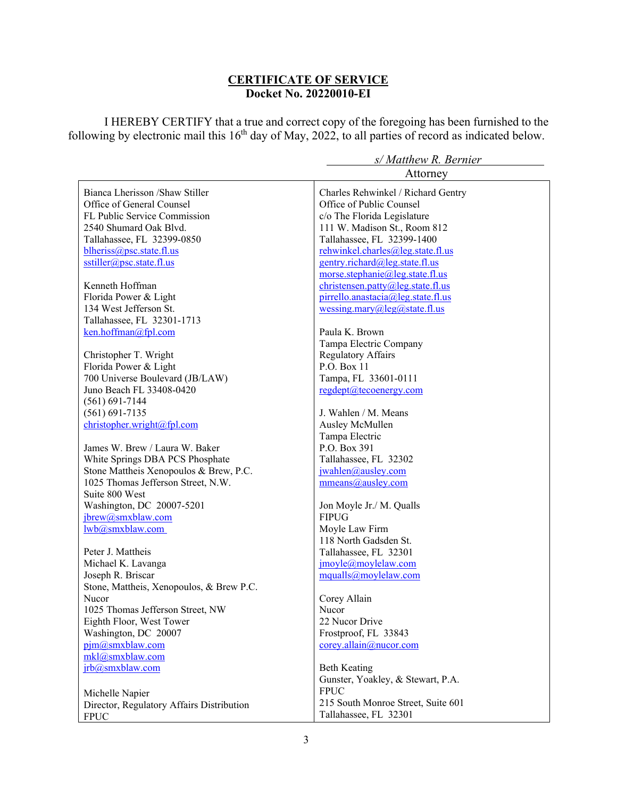## **CERTIFICATE OF SERVICE Docket No. 20220010-EI**

I HEREBY CERTIFY that a true and correct copy of the foregoing has been furnished to the following by electronic mail this  $16<sup>th</sup>$  day of May, 2022, to all parties of record as indicated below.

|                                           | $57$ Interactive IX. Defined                                                                                                                                                                                                                                                                                                                                                                                                                                                          |
|-------------------------------------------|---------------------------------------------------------------------------------------------------------------------------------------------------------------------------------------------------------------------------------------------------------------------------------------------------------------------------------------------------------------------------------------------------------------------------------------------------------------------------------------|
|                                           | Attorney                                                                                                                                                                                                                                                                                                                                                                                                                                                                              |
| Bianca Lherisson /Shaw Stiller            | Charles Rehwinkel / Richard Gentry                                                                                                                                                                                                                                                                                                                                                                                                                                                    |
| Office of General Counsel                 | Office of Public Counsel                                                                                                                                                                                                                                                                                                                                                                                                                                                              |
| FL Public Service Commission              | c/o The Florida Legislature                                                                                                                                                                                                                                                                                                                                                                                                                                                           |
| 2540 Shumard Oak Blvd.                    | 111 W. Madison St., Room 812                                                                                                                                                                                                                                                                                                                                                                                                                                                          |
| Tallahassee, FL 32399-0850                | Tallahassee, FL 32399-1400                                                                                                                                                                                                                                                                                                                                                                                                                                                            |
| blheriss@psc.state.fl.us                  | rehwinkel.charles@leg.state.fl.us                                                                                                                                                                                                                                                                                                                                                                                                                                                     |
| sstiller@psc.state.fl.us                  | gentry.richard@leg.state.fl.us                                                                                                                                                                                                                                                                                                                                                                                                                                                        |
|                                           | morse.stephanie@leg.state.fl.us                                                                                                                                                                                                                                                                                                                                                                                                                                                       |
| Kenneth Hoffman                           | christensen.path@leg.state.f1.us                                                                                                                                                                                                                                                                                                                                                                                                                                                      |
| Florida Power & Light                     | pirrello.anastacia@leg.state.fl.us                                                                                                                                                                                                                                                                                                                                                                                                                                                    |
| 134 West Jefferson St.                    | wessing.mary@leg@state.fl.us                                                                                                                                                                                                                                                                                                                                                                                                                                                          |
| Tallahassee, FL 32301-1713                |                                                                                                                                                                                                                                                                                                                                                                                                                                                                                       |
| ken.hoffman@fpl.com                       | Paula K. Brown                                                                                                                                                                                                                                                                                                                                                                                                                                                                        |
|                                           | Tampa Electric Company                                                                                                                                                                                                                                                                                                                                                                                                                                                                |
| Christopher T. Wright                     | <b>Regulatory Affairs</b>                                                                                                                                                                                                                                                                                                                                                                                                                                                             |
| Florida Power & Light                     | P.O. Box 11                                                                                                                                                                                                                                                                                                                                                                                                                                                                           |
| 700 Universe Boulevard (JB/LAW)           | Tampa, FL 33601-0111                                                                                                                                                                                                                                                                                                                                                                                                                                                                  |
| Juno Beach FL 33408-0420                  | regdept@tecoenergy.com                                                                                                                                                                                                                                                                                                                                                                                                                                                                |
| $(561) 691 - 7144$                        |                                                                                                                                                                                                                                                                                                                                                                                                                                                                                       |
| $(561) 691 - 7135$                        | J. Wahlen / M. Means                                                                                                                                                                                                                                                                                                                                                                                                                                                                  |
| christopher.wright@fpl.com                | Ausley McMullen                                                                                                                                                                                                                                                                                                                                                                                                                                                                       |
|                                           | Tampa Electric                                                                                                                                                                                                                                                                                                                                                                                                                                                                        |
| James W. Brew / Laura W. Baker            | P.O. Box 391                                                                                                                                                                                                                                                                                                                                                                                                                                                                          |
| White Springs DBA PCS Phosphate           | Tallahassee, FL 32302                                                                                                                                                                                                                                                                                                                                                                                                                                                                 |
| Stone Mattheis Xenopoulos & Brew, P.C.    | jwahlen@ausley.com                                                                                                                                                                                                                                                                                                                                                                                                                                                                    |
| 1025 Thomas Jefferson Street, N.W.        | mmeans@ausley.com                                                                                                                                                                                                                                                                                                                                                                                                                                                                     |
| Suite 800 West                            |                                                                                                                                                                                                                                                                                                                                                                                                                                                                                       |
| Washington, DC 20007-5201                 | Jon Moyle Jr./ M. Qualls                                                                                                                                                                                                                                                                                                                                                                                                                                                              |
| jbrew@smxblaw.com                         | <b>FIPUG</b>                                                                                                                                                                                                                                                                                                                                                                                                                                                                          |
| lwb@smxblaw.com                           | Moyle Law Firm                                                                                                                                                                                                                                                                                                                                                                                                                                                                        |
|                                           | 118 North Gadsden St.                                                                                                                                                                                                                                                                                                                                                                                                                                                                 |
| Peter J. Mattheis                         | Tallahassee, FL 32301                                                                                                                                                                                                                                                                                                                                                                                                                                                                 |
| Michael K. Lavanga                        | $\text{imovle}\xspace(\text{movle}\xspace(\text{movle}\xspace(\text{mov:}\xspace(\text{mov:}\xspace(\text{mov:}\xspace(\text{mov:}\xspace(\text{mov:}\xspace(\text{mov:}\xspace(\text{mov:}\xspace(\text{mov:}\xspace(\text{mov:}\xspace(\text{mov:}\xspace(\text{mov:}\xspace(\text{mov:}\xspace(\text{mov:}\xspace(\text{mov:}\xspace(\text{mov:}\xspace(\text{mov:}\xspace(\text{mov:}\xspace(\text{mov:}\xspace(\text{mov:}\xspace(\text{mov:}\xspace(\text{mov:}\xspace(\text{m$ |
| Joseph R. Briscar                         | mqualls@moylelaw.com                                                                                                                                                                                                                                                                                                                                                                                                                                                                  |
| Stone, Mattheis, Xenopoulos, & Brew P.C.  |                                                                                                                                                                                                                                                                                                                                                                                                                                                                                       |
| Nucor                                     | Corey Allain                                                                                                                                                                                                                                                                                                                                                                                                                                                                          |
| 1025 Thomas Jefferson Street, NW          | Nucor                                                                                                                                                                                                                                                                                                                                                                                                                                                                                 |
| Eighth Floor, West Tower                  | 22 Nucor Drive                                                                                                                                                                                                                                                                                                                                                                                                                                                                        |
| Washington, DC 20007                      | Frostproof, FL 33843                                                                                                                                                                                                                                                                                                                                                                                                                                                                  |
| pjm@smxblaw.com                           | corey.allain@nucor.com                                                                                                                                                                                                                                                                                                                                                                                                                                                                |
| mkl@smxblaw.com                           |                                                                                                                                                                                                                                                                                                                                                                                                                                                                                       |
| jrb@smxblaw.com                           | <b>Beth Keating</b>                                                                                                                                                                                                                                                                                                                                                                                                                                                                   |
|                                           | Gunster, Yoakley, & Stewart, P.A.                                                                                                                                                                                                                                                                                                                                                                                                                                                     |
| Michelle Napier                           | <b>FPUC</b>                                                                                                                                                                                                                                                                                                                                                                                                                                                                           |
| Director, Regulatory Affairs Distribution | 215 South Monroe Street, Suite 601                                                                                                                                                                                                                                                                                                                                                                                                                                                    |
| <b>FPUC</b>                               | Tallahassee, FL 32301                                                                                                                                                                                                                                                                                                                                                                                                                                                                 |

# *s/ Matthew R. Bernier*